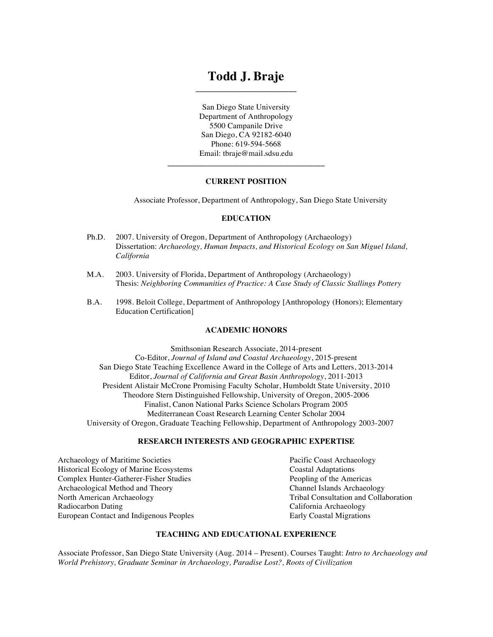## **Todd J. Braje \_\_\_\_\_\_\_\_\_\_\_\_\_\_\_\_\_\_\_\_\_\_\_\_\_**

San Diego State University Department of Anthropology 5500 Campanile Drive San Diego, CA 92182-6040 Phone: 619-594-5668 Email: tbraje@mail.sdsu.edu

## **CURRENT POSITION**

**\_\_\_\_\_\_\_\_\_\_\_\_\_\_\_\_\_\_\_\_\_\_\_\_\_\_\_\_\_\_\_\_\_\_\_\_\_\_\_**

Associate Professor, Department of Anthropology, San Diego State University

#### **EDUCATION**

- Ph.D. 2007. University of Oregon, Department of Anthropology (Archaeology) Dissertation: *Archaeology, Human Impacts, and Historical Ecology on San Miguel Island, California*
- M.A. 2003. University of Florida, Department of Anthropology (Archaeology) Thesis: *Neighboring Communities of Practice: A Case Study of Classic Stallings Pottery*
- B.A. 1998. Beloit College, Department of Anthropology [Anthropology (Honors); Elementary Education Certification]

#### **ACADEMIC HONORS**

Smithsonian Research Associate, 2014-present Co-Editor, *Journal of Island and Coastal Archaeology*, 2015-present San Diego State Teaching Excellence Award in the College of Arts and Letters, 2013-2014 Editor, *Journal of California and Great Basin Anthropology*, 2011-2013 President Alistair McCrone Promising Faculty Scholar, Humboldt State University, 2010 Theodore Stern Distinguished Fellowship, University of Oregon, 2005-2006 Finalist, Canon National Parks Science Scholars Program 2005 Mediterranean Coast Research Learning Center Scholar 2004 University of Oregon, Graduate Teaching Fellowship, Department of Anthropology 2003-2007

#### **RESEARCH INTERESTS AND GEOGRAPHIC EXPERTISE**

Archaeology of Maritime Societies Pacific Coast Archaeology Historical Ecology of Marine Ecosystems Coastal Adaptations Complex Hunter-Gatherer-Fisher Studies<br>
Archaeological Method and Theory<br>
Channel Islands Archaeology Archaeological Method and Theory<br>North American Archaeology Radiocarbon Dating **California Archaeology** California Archaeology European Contact and Indigenous Peoples Early Coastal Migrations

Tribal Consultation and Collaboration

## **TEACHING AND EDUCATIONAL EXPERIENCE**

Associate Professor, San Diego State University (Aug. 2014 – Present). Courses Taught: *Intro to Archaeology and World Prehistory, Graduate Seminar in Archaeology, Paradise Lost?, Roots of Civilization*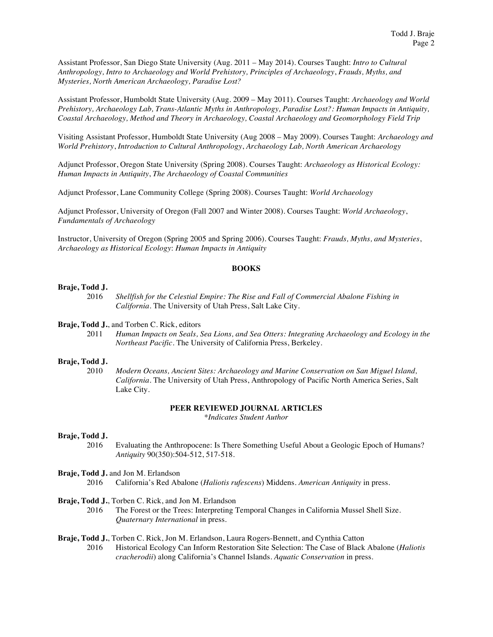Assistant Professor, San Diego State University (Aug. 2011 – May 2014). Courses Taught: *Intro to Cultural Anthropology, Intro to Archaeology and World Prehistory, Principles of Archaeology*, *Frauds, Myths, and Mysteries, North American Archaeology, Paradise Lost?*

Assistant Professor, Humboldt State University (Aug. 2009 – May 2011). Courses Taught: *Archaeology and World Prehistory, Archaeology Lab, Trans-Atlantic Myths in Anthropology, Paradise Lost?: Human Impacts in Antiquity, Coastal Archaeology, Method and Theory in Archaeology, Coastal Archaeology and Geomorphology Field Trip*

Visiting Assistant Professor, Humboldt State University (Aug 2008 – May 2009). Courses Taught: *Archaeology and World Prehistory*, *Introduction to Cultural Anthropology*, *Archaeology Lab, North American Archaeology*

Adjunct Professor, Oregon State University (Spring 2008). Courses Taught: *Archaeology as Historical Ecology: Human Impacts in Antiquity*, *The Archaeology of Coastal Communities*

Adjunct Professor, Lane Community College (Spring 2008). Courses Taught: *World Archaeology*

Adjunct Professor, University of Oregon (Fall 2007 and Winter 2008). Courses Taught: *World Archaeology*, *Fundamentals of Archaeology*

Instructor, University of Oregon (Spring 2005 and Spring 2006). Courses Taught: *Frauds, Myths, and Mysteries*, *Archaeology as Historical Ecology*: *Human Impacts in Antiquity*

#### **BOOKS**

#### **Braje, Todd J.**

2016 *Shellfish for the Celestial Empire: The Rise and Fall of Commercial Abalone Fishing in California*. The University of Utah Press, Salt Lake City.

### **Braje, Todd J.**, and Torben C. Rick, editors

2011 *Human Impacts on Seals, Sea Lions, and Sea Otters: Integrating Archaeology and Ecology in the Northeast Pacific*. The University of California Press, Berkeley.

#### **Braje, Todd J.**

2010 *Modern Oceans, Ancient Sites: Archaeology and Marine Conservation on San Miguel Island, California*. The University of Utah Press, Anthropology of Pacific North America Series, Salt Lake City.

## **PEER REVIEWED JOURNAL ARTICLES**

*\*Indicates Student Author*

#### **Braje, Todd J.**

2016 Evaluating the Anthropocene: Is There Something Useful About a Geologic Epoch of Humans? *Antiquity* 90(350):504-512, 517-518.

#### **Braje, Todd J.** and Jon M. Erlandson

2016 California's Red Abalone (*Haliotis rufescens*) Middens. *American Antiquity* in press.

## **Braje, Todd J.**, Torben C. Rick, and Jon M. Erlandson

2016 The Forest or the Trees: Interpreting Temporal Changes in California Mussel Shell Size. *Quaternary International* in press.

#### **Braje, Todd J.**, Torben C. Rick, Jon M. Erlandson, Laura Rogers-Bennett, and Cynthia Catton

2016 Historical Ecology Can Inform Restoration Site Selection: The Case of Black Abalone (*Haliotis cracherodii*) along California's Channel Islands. *Aquatic Conservation* in press.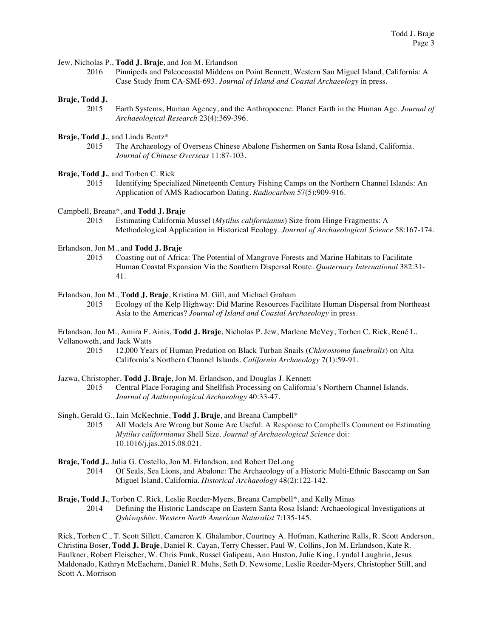Jew, Nicholas P., **Todd J. Braje**, and Jon M. Erlandson

2016 Pinnipeds and Paleocoastal Middens on Point Bennett, Western San Miguel Island, California: A Case Study from CA-SMI-693. *Journal of Island and Coastal Archaeology* in press.

## **Braje, Todd J.**

- 2015 Earth Systems, Human Agency, and the Anthropocene: Planet Earth in the Human Age. *Journal of Archaeological Research* 23(4):369-396.
- **Braje, Todd J.**, and Linda Bentz\*
	- 2015 The Archaeology of Overseas Chinese Abalone Fishermen on Santa Rosa Island, California. *Journal of Chinese Overseas* 11:87-103.
- **Braje, Todd J.**, and Torben C. Rick
	- 2015 Identifying Specialized Nineteenth Century Fishing Camps on the Northern Channel Islands: An Application of AMS Radiocarbon Dating. *Radiocarbon* 57(5):909-916.

Campbell, Breana\*, and **Todd J. Braje**

2015 Estimating California Mussel (*Mytilus californianus*) Size from Hinge Fragments: A Methodological Application in Historical Ecology. *Journal of Archaeological Science* 58:167-174.

Erlandson, Jon M., and **Todd J. Braje**

- 2015 Coasting out of Africa: The Potential of Mangrove Forests and Marine Habitats to Facilitate Human Coastal Expansion Via the Southern Dispersal Route. *Quaternary International* 382:31- 41.
- Erlandson, Jon M., **Todd J. Braje**, Kristina M. Gill, and Michael Graham
	- 2015 Ecology of the Kelp Highway: Did Marine Resources Facilitate Human Dispersal from Northeast Asia to the Americas? *Journal of Island and Coastal Archaeology* in press.

Erlandson, Jon M., Amira F. Ainis, **Todd J. Braje**, Nicholas P. Jew, Marlene McVey, Torben C. Rick, René L. Vellanoweth, and Jack Watts<br>2015 12,000 Year

2015 12,000 Years of Human Predation on Black Turban Snails (*Chlorostoma funebralis*) on Alta California's Northern Channel Islands. *California Archaeology* 7(1):59-91.

## Jazwa, Christopher, **Todd J. Braje**, Jon M. Erlandson, and Douglas J. Kennett

2015 Central Place Foraging and Shellfish Processing on California's Northern Channel Islands. *Journal of Anthropological Archaeology* 40:33-47.

Singh, Gerald G., Iain McKechnie, **Todd J. Braje**, and Breana Campbell\*

- 2015 All Models Are Wrong but Some Are Useful: A Response to Campbell's Comment on Estimating *Mytilus californianus* Shell Size. *Journal of Archaeological Science* doi: 10.1016/j.jas.2015.08.021.
- **Braje, Todd J.**, Julia G. Costello, Jon M. Erlandson, and Robert DeLong 2014 Of Seals, Sea Lions, and Abalone: The Archaeology of a Historic Multi-Ethnic Basecamp on San
	- Miguel Island, California. *Historical Archaeology* 48(2):122-142.
- **Braje, Todd J.**, Torben C. Rick, Leslie Reeder-Myers, Breana Campbell\*, and Kelly Minas 2014 Defining the Historic Landscape on Eastern Santa Rosa Island: Archaeological Investigations at *Qshiwqshiw*. *Western North American Naturalist* 7:135-145.

Rick, Torben C., T. Scott Sillett, Cameron K. Ghalambor, Courtney A. Hofman, Katherine Ralls, R. Scott Anderson, Christina Boser, **Todd J. Braje**, Daniel R. Cayan, Terry Chesser, Paul W. Collins, Jon M. Erlandson, Kate R. Faulkner, Robert Fleischer, W. Chris Funk, Russel Galipeau, Ann Huston, Julie King, Lyndal Laughrin, Jesus Maldonado, Kathryn McEachern, Daniel R. Muhs, Seth D. Newsome, Leslie Reeder-Myers, Christopher Still, and Scott A. Morrison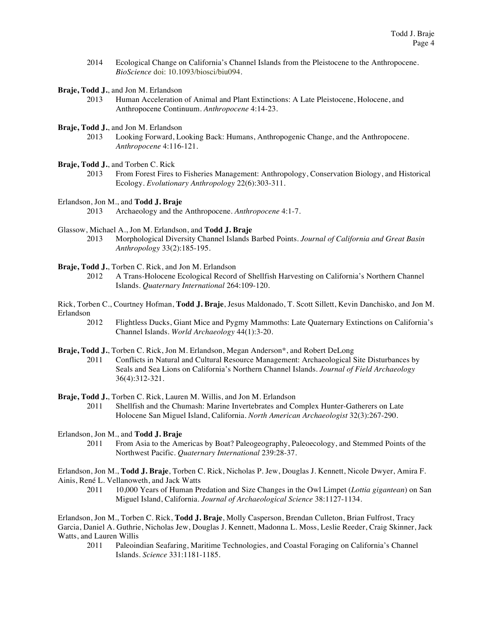- 2014 Ecological Change on California's Channel Islands from the Pleistocene to the Anthropocene. *BioScience* doi: 10.1093/biosci/biu094.
- **Braje, Todd J.**, and Jon M. Erlandson
	- 2013 Human Acceleration of Animal and Plant Extinctions: A Late Pleistocene, Holocene, and Anthropocene Continuum. *Anthropocene* 4:14-23.
- **Braje, Todd J.**, and Jon M. Erlandson<br>2013 Looking Forward, Lo
	- Looking Forward, Looking Back: Humans, Anthropogenic Change, and the Anthropocene. *Anthropocene* 4:116-121.
- **Braje, Todd J.**, and Torben C. Rick
	- 2013 From Forest Fires to Fisheries Management: Anthropology, Conservation Biology, and Historical Ecology. *Evolutionary Anthropology* 22(6):303-311.
- Erlandson, Jon M., and **Todd J. Braje**
	- 2013 Archaeology and the Anthropocene. *Anthropocene* 4:1-7.
- Glassow, Michael A., Jon M. Erlandson, and **Todd J. Braje**
	- 2013 Morphological Diversity Channel Islands Barbed Points. *Journal of California and Great Basin Anthropology* 33(2):185-195.
- **Braje, Todd J.**, Torben C. Rick, and Jon M. Erlandson
	- 2012 A Trans-Holocene Ecological Record of Shellfish Harvesting on California's Northern Channel Islands. *Quaternary International* 264:109-120.
- Rick, Torben C., Courtney Hofman, **Todd J. Braje**, Jesus Maldonado, T. Scott Sillett, Kevin Danchisko, and Jon M. Erlandson
	- 2012 Flightless Ducks, Giant Mice and Pygmy Mammoths: Late Quaternary Extinctions on California's Channel Islands. *World Archaeology* 44(1):3-20.
- **Braje, Todd J.**, Torben C. Rick, Jon M. Erlandson, Megan Anderson<sup>\*</sup>, and Robert DeLong 2011 Conflicts in Natural and Cultural Resource Management: Archaeological S
	- 2011 Conflicts in Natural and Cultural Resource Management: Archaeological Site Disturbances by Seals and Sea Lions on California's Northern Channel Islands. *Journal of Field Archaeology* 36(4):312-321.

**Braje, Todd J.**, Torben C. Rick, Lauren M. Willis, and Jon M. Erlandson

- 2011 Shellfish and the Chumash: Marine Invertebrates and Complex Hunter-Gatherers on Late Holocene San Miguel Island, California. *North American Archaeologist* 32(3):267-290.
- Erlandson, Jon M., and **Todd J. Braje**
	- 2011 From Asia to the Americas by Boat? Paleogeography, Paleoecology, and Stemmed Points of the Northwest Pacific. *Quaternary International* 239:28-37.

Erlandson, Jon M., **Todd J. Braje**, Torben C. Rick, Nicholas P. Jew, Douglas J. Kennett, Nicole Dwyer, Amira F. Ainis, René L. Vellanoweth, and Jack Watts

2011 10,000 Years of Human Predation and Size Changes in the Owl Limpet (*Lottia gigantean*) on San Miguel Island, California. *Journal of Archaeological Science* 38:1127-1134.

Erlandson, Jon M., Torben C. Rick, **Todd J. Braje**, Molly Casperson, Brendan Culleton, Brian Fulfrost, Tracy Garcia, Daniel A. Guthrie, Nicholas Jew, Douglas J. Kennett, Madonna L. Moss, Leslie Reeder, Craig Skinner, Jack Watts, and Lauren Willis

2011 Paleoindian Seafaring, Maritime Technologies, and Coastal Foraging on California's Channel Islands. *Science* 331:1181-1185.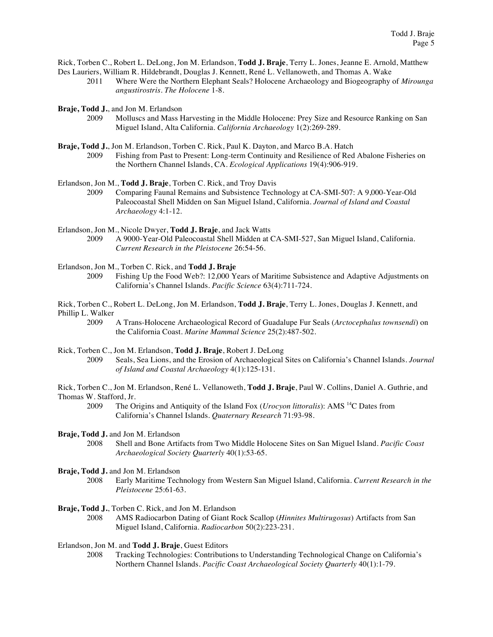Rick, Torben C., Robert L. DeLong, Jon M. Erlandson, **Todd J. Braje**, Terry L. Jones, Jeanne E. Arnold, Matthew Des Lauriers, William R. Hildebrandt, Douglas J. Kennett, René L. Vellanoweth, and Thomas A. Wake

- 2011 Where Were the Northern Elephant Seals? Holocene Archaeology and Biogeography of *Mirounga angustirostris*. *The Holocene* 1-8.
- **Braje, Todd J.**, and Jon M. Erlandson
	- 2009 Molluscs and Mass Harvesting in the Middle Holocene: Prey Size and Resource Ranking on San Miguel Island, Alta California. *California Archaeology* 1(2):269-289.
- **Braje, Todd J.**, Jon M. Erlandson, Torben C. Rick, Paul K. Dayton, and Marco B.A. Hatch 2009 Fishing from Past to Present: Long-term Continuity and Resilience of Red Abalone Fisheries on the Northern Channel Islands, CA. *Ecological Applications* 19(4):906-919.
- Erlandson, Jon M., **Todd J. Braje**, Torben C. Rick, and Troy Davis
	- 2009 Comparing Faunal Remains and Subsistence Technology at CA-SMI-507: A 9,000-Year-Old Paleocoastal Shell Midden on San Miguel Island, California. *Journal of Island and Coastal Archaeology* 4:1-12.
- Erlandson, Jon M., Nicole Dwyer, **Todd J. Braje**, and Jack Watts
	- 2009 A 9000-Year-Old Paleocoastal Shell Midden at CA-SMI-527, San Miguel Island, California. *Current Research in the Pleistocene* 26:54-56.
- Erlandson, Jon M., Torben C. Rick, and **Todd J. Braje**
	- 2009 Fishing Up the Food Web?: 12,000 Years of Maritime Subsistence and Adaptive Adjustments on California's Channel Islands. *Pacific Science* 63(4):711-724.
- Rick, Torben C., Robert L. DeLong, Jon M. Erlandson, **Todd J. Braje**, Terry L. Jones, Douglas J. Kennett, and Phillip L. Walker
	- 2009 A Trans-Holocene Archaeological Record of Guadalupe Fur Seals (*Arctocephalus townsendi*) on the California Coast. *Marine Mammal Science* 25(2):487-502.
- Rick, Torben C., Jon M. Erlandson, **Todd J. Braje**, Robert J. DeLong
	- 2009 Seals, Sea Lions, and the Erosion of Archaeological Sites on California's Channel Islands. *Journal of Island and Coastal Archaeology* 4(1):125-131.
- Rick, Torben C., Jon M. Erlandson, René L. Vellanoweth, **Todd J. Braje**, Paul W. Collins, Daniel A. Guthrie, and Thomas W. Stafford, Jr.
	- 2009 The Origins and Antiquity of the Island Fox (*Urocyon littoralis*): AMS 14C Dates from California's Channel Islands. *Quaternary Research* 71:93-98*.*
- **Braje, Todd J.** and Jon M. Erlandson
	- 2008 Shell and Bone Artifacts from Two Middle Holocene Sites on San Miguel Island. *Pacific Coast Archaeological Society Quarterly* 40(1):53-65.
- **Braje, Todd J.** and Jon M. Erlandson
	- 2008 Early Maritime Technology from Western San Miguel Island, California. *Current Research in the Pleistocene* 25:61-63.
- **Braje, Todd J.**, Torben C. Rick, and Jon M. Erlandson
	- 2008 AMS Radiocarbon Dating of Giant Rock Scallop (*Hinnites Multirugosus*) Artifacts from San Miguel Island, California. *Radiocarbon* 50(2):223-231.
- Erlandson, Jon M. and **Todd J. Braje**, Guest Editors
	- 2008 Tracking Technologies: Contributions to Understanding Technological Change on California's Northern Channel Islands. *Pacific Coast Archaeological Society Quarterly* 40(1):1-79.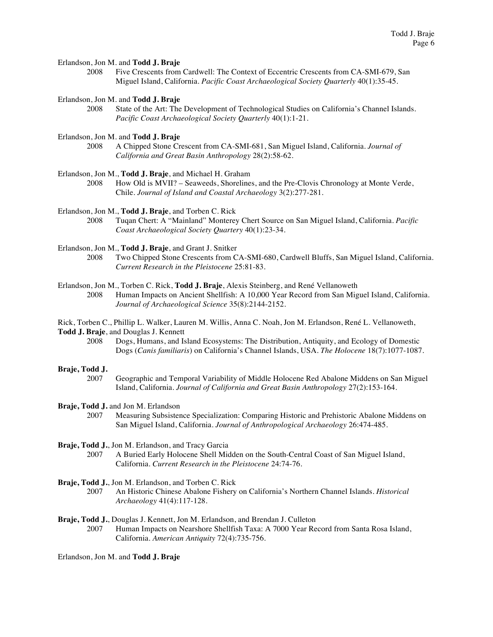#### Erlandson, Jon M. and **Todd J. Braje**

2008 Five Crescents from Cardwell: The Context of Eccentric Crescents from CA-SMI-679, San Miguel Island, California. *Pacific Coast Archaeological Society Quarterly* 40(1):35-45.

## Erlandson, Jon M. and **Todd J. Braje**

2008 State of the Art: The Development of Technological Studies on California's Channel Islands. *Pacific Coast Archaeological Society Quarterly* 40(1):1-21.

## Erlandson, Jon M. and **Todd J. Braje**

- 2008 A Chipped Stone Crescent from CA-SMI-681, San Miguel Island, California. *Journal of California and Great Basin Anthropology* 28(2):58-62.
- Erlandson, Jon M., **Todd J. Braje**, and Michael H. Graham

2008 How Old is MVII? – Seaweeds, Shorelines, and the Pre-Clovis Chronology at Monte Verde, Chile. *Journal of Island and Coastal Archaeology* 3(2):277-281.

#### Erlandson, Jon M., **Todd J. Braje**, and Torben C. Rick

- 2008 Tuqan Chert: A "Mainland" Monterey Chert Source on San Miguel Island, California. *Pacific Coast Archaeological Society Quartery* 40(1):23-34.
- Erlandson, Jon M., **Todd J. Braje**, and Grant J. Snitker
	- 2008 Two Chipped Stone Crescents from CA-SMI-680, Cardwell Bluffs, San Miguel Island, California. *Current Research in the Pleistocene* 25:81-83*.*

#### Erlandson, Jon M., Torben C. Rick, **Todd J. Braje**, Alexis Steinberg, and René Vellanoweth

2008 Human Impacts on Ancient Shellfish: A 10,000 Year Record from San Miguel Island, California. *Journal of Archaeological Science* 35(8):2144-2152.

Rick, Torben C., Phillip L. Walker, Lauren M. Willis, Anna C. Noah, Jon M. Erlandson, René L. Vellanoweth, **Todd J. Braje**, and Douglas J. Kennett

2008 Dogs, Humans, and Island Ecosystems: The Distribution, Antiquity, and Ecology of Domestic Dogs (*Canis familiaris*) on California's Channel Islands, USA. *The Holocene* 18(7):1077-1087.

#### **Braje, Todd J.**

2007 Geographic and Temporal Variability of Middle Holocene Red Abalone Middens on San Miguel Island, California. *Journal of California and Great Basin Anthropology* 27(2):153-164.

#### **Braje, Todd J.** and Jon M. Erlandson

2007 Measuring Subsistence Specialization: Comparing Historic and Prehistoric Abalone Middens on San Miguel Island, California. *Journal of Anthropological Archaeology* 26:474-485.

#### **Braje, Todd J.**, Jon M. Erlandson, and Tracy Garcia

- 2007 A Buried Early Holocene Shell Midden on the South-Central Coast of San Miguel Island, California. *Current Research in the Pleistocene* 24:74-76*.*
- **Braje, Todd J.**, Jon M. Erlandson, and Torben C. Rick
	- 2007 An Historic Chinese Abalone Fishery on California's Northern Channel Islands. *Historical Archaeology* 41(4):117-128.

#### **Braje, Todd J.**, Douglas J. Kennett, Jon M. Erlandson, and Brendan J. Culleton

2007 Human Impacts on Nearshore Shellfish Taxa: A 7000 Year Record from Santa Rosa Island, California. *American Antiquity* 72(4):735-756.

Erlandson, Jon M. and **Todd J. Braje**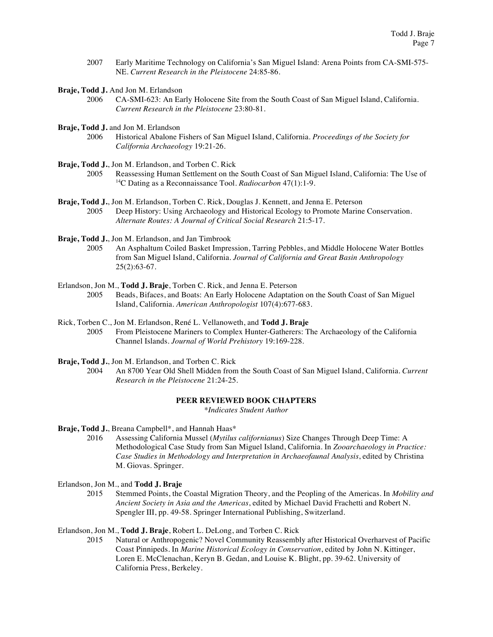- 2007 Early Maritime Technology on California's San Miguel Island: Arena Points from CA-SMI-575- NE. *Current Research in the Pleistocene* 24:85-86.
- **Braje, Todd J.** And Jon M. Erlandson
	- 2006 CA-SMI-623: An Early Holocene Site from the South Coast of San Miguel Island, California. *Current Research in the Pleistocene* 23:80-81.
- **Braje, Todd J.** and Jon M. Erlandson<br>2006 Historical Abalone F
	- 2006 Historical Abalone Fishers of San Miguel Island, California. *Proceedings of the Society for California Archaeology* 19:21-26.
- **Braje, Todd J.**, Jon M. Erlandson, and Torben C. Rick
	- <sup>2005</sup> Reassessing Human Settlement on the South Coast of San Miguel Island, California: The Use of 14C Dating as a Reconnaissance Tool. *Radiocarbon* 47(1):1-9.
- **Braje, Todd J.**, Jon M. Erlandson, Torben C. Rick, Douglas J. Kennett, and Jenna E. Peterson 2005 Deep History: Using Archaeology and Historical Ecology to Promote Marine Conservation. *Alternate Routes: A Journal of Critical Social Research* 21:5-17.
- **Braje, Todd J.**, Jon M. Erlandson, and Jan Timbrook
	- 2005 An Asphaltum Coiled Basket Impression, Tarring Pebbles, and Middle Holocene Water Bottles from San Miguel Island, California. *Journal of California and Great Basin Anthropology*  25(2):63-67.
- Erlandson, Jon M., **Todd J. Braje**, Torben C. Rick, and Jenna E. Peterson 2005 Beads, Bifaces, and Boats: An Early Holocene Adaptation on the South Coast of San Miguel Island, California. *American Anthropologist* 107(4):677-683.
- Rick, Torben C., Jon M. Erlandson, René L. Vellanoweth, and **Todd J. Braje** 2005 From Pleistocene Mariners to Complex Hunter-Gatherers: The Archaeology of the California Channel Islands. *Journal of World Prehistory* 19:169-228.
- **Braje, Todd J.**, Jon M. Erlandson, and Torben C. Rick
	- 2004 An 8700 Year Old Shell Midden from the South Coast of San Miguel Island, California. *Current Research in the Pleistocene* 21:24-25.

## **PEER REVIEWED BOOK CHAPTERS**

*\*Indicates Student Author*

- **Braje, Todd J.**, Breana Campbell\*, and Hannah Haas\*
	- 2016 Assessing California Mussel (*Mytilus californianus*) Size Changes Through Deep Time: A Methodological Case Study from San Miguel Island, California. In *Zooarchaeology in Practice: Case Studies in Methodology and Interpretation in Archaeofaunal Analysis*, edited by Christina M. Giovas. Springer.
- Erlandson, Jon M., and **Todd J. Braje**
	- 2015 Stemmed Points, the Coastal Migration Theory, and the Peopling of the Americas. In *Mobility and Ancient Society in Asia and the Americas*, edited by Michael David Frachetti and Robert N. Spengler III, pp. 49-58. Springer International Publishing, Switzerland.

Erlandson, Jon M., **Todd J. Braje**, Robert L. DeLong, and Torben C. Rick

2015 Natural or Anthropogenic? Novel Community Reassembly after Historical Overharvest of Pacific Coast Pinnipeds. In *Marine Historical Ecology in Conservation*, edited by John N. Kittinger, Loren E. McClenachan, Keryn B. Gedan, and Louise K. Blight, pp. 39-62. University of California Press, Berkeley.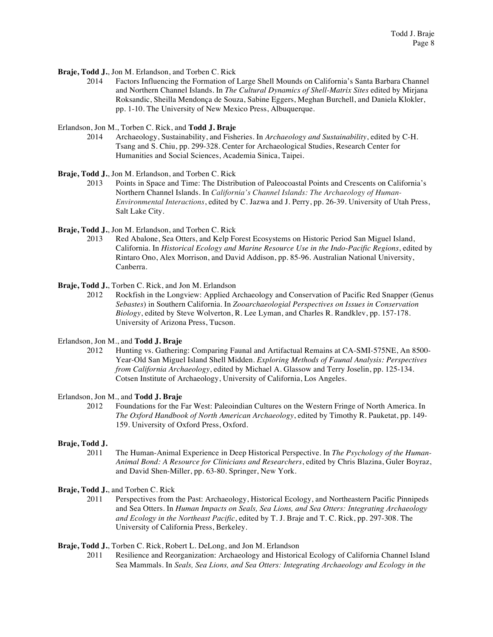**Braje, Todd J.**, Jon M. Erlandson, and Torben C. Rick

2014 Factors Influencing the Formation of Large Shell Mounds on California's Santa Barbara Channel and Northern Channel Islands. In *The Cultural Dynamics of Shell-Matrix Sites* edited by Mirjana Roksandic, Sheilla Mendonça de Souza, Sabine Eggers, Meghan Burchell, and Daniela Klokler, pp. 1-10. The University of New Mexico Press, Albuquerque.

Erlandson, Jon M., Torben C. Rick, and **Todd J. Braje**

2014 Archaeology, Sustainability, and Fisheries. In *Archaeology and Sustainability*, edited by C-H. Tsang and S. Chiu, pp. 299-328. Center for Archaeological Studies, Research Center for Humanities and Social Sciences, Academia Sinica, Taipei.

**Braje, Todd J.**, Jon M. Erlandson, and Torben C. Rick

2013 Points in Space and Time: The Distribution of Paleocoastal Points and Crescents on California's Northern Channel Islands. In *California's Channel Islands: The Archaeology of Human-Environmental Interactions*, edited by C. Jazwa and J. Perry, pp. 26-39. University of Utah Press, Salt Lake City.

**Braje, Todd J.**, Jon M. Erlandson, and Torben C. Rick

Red Abalone, Sea Otters, and Kelp Forest Ecosystems on Historic Period San Miguel Island, California. In *Historical Ecology and Marine Resource Use in the Indo-Pacific Regions*, edited by Rintaro Ono, Alex Morrison, and David Addison, pp. 85-96. Australian National University, Canberra.

**Braje, Todd J.**, Torben C. Rick, and Jon M. Erlandson

2012 Rockfish in the Longview: Applied Archaeology and Conservation of Pacific Red Snapper (Genus *Sebastes*) in Southern California. In *Zooarchaeologial Perspectives on Issues in Conservation Biology*, edited by Steve Wolverton, R. Lee Lyman, and Charles R. Randklev, pp. 157-178. University of Arizona Press, Tucson.

Erlandson, Jon M., and **Todd J. Braje**

2012 Hunting vs. Gathering: Comparing Faunal and Artifactual Remains at CA-SMI-575NE, An 8500- Year-Old San Miguel Island Shell Midden. *Exploring Methods of Faunal Analysis: Perspectives from California Archaeology*, edited by Michael A. Glassow and Terry Joselin, pp. 125-134. Cotsen Institute of Archaeology, University of California, Los Angeles.

Erlandson, Jon M., and **Todd J. Braje**

2012 Foundations for the Far West: Paleoindian Cultures on the Western Fringe of North America. In *The Oxford Handbook of North American Archaeology*, edited by Timothy R. Pauketat, pp. 149- 159. University of Oxford Press, Oxford.

## **Braje, Todd J.**

2011 The Human-Animal Experience in Deep Historical Perspective. In *The Psychology of the Human-Animal Bond: A Resource for Clinicians and Researchers*, edited by Chris Blazina, Guler Boyraz, and David Shen-Miller, pp. 63-80. Springer, New York.

**Braje, Todd J.**, and Torben C. Rick

2011 Perspectives from the Past: Archaeology, Historical Ecology, and Northeastern Pacific Pinnipeds and Sea Otters. In *Human Impacts on Seals, Sea Lions, and Sea Otters: Integrating Archaeology and Ecology in the Northeast Pacific*, edited by T. J. Braje and T. C. Rick, pp. 297-308. The University of California Press, Berkeley.

**Braje, Todd J.**, Torben C. Rick, Robert L. DeLong, and Jon M. Erlandson

2011 Resilience and Reorganization: Archaeology and Historical Ecology of California Channel Island Sea Mammals. In *Seals, Sea Lions, and Sea Otters: Integrating Archaeology and Ecology in the*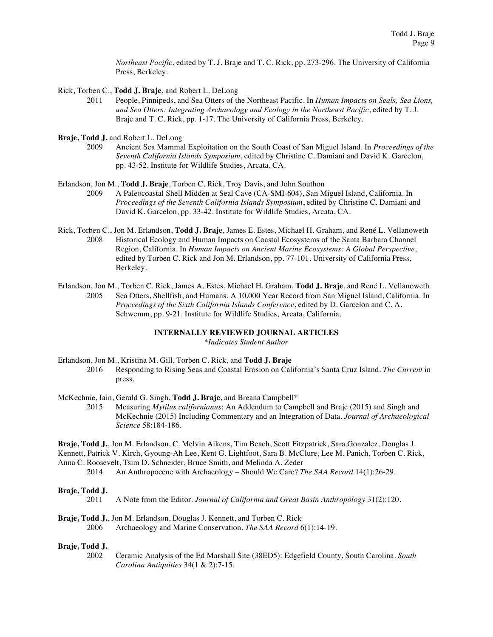*Northeast Pacific*, edited by T. J. Braje and T. C. Rick, pp. 273-296. The University of California Press, Berkeley.

- Rick, Torben C., **Todd J. Braje**, and Robert L. DeLong
	- 2011 People, Pinnipeds, and Sea Otters of the Northeast Pacific. In *Human Impacts on Seals, Sea Lions, and Sea Otters: Integrating Archaeology and Ecology in the Northeast Pacific*, edited by T. J. Braje and T. C. Rick, pp. 1-17. The University of California Press, Berkeley.
- **Braje, Todd J.** and Robert L. DeLong
	- 2009 Ancient Sea Mammal Exploitation on the South Coast of San Miguel Island. In *Proceedings of the Seventh California Islands Symposium*, edited by Christine C. Damiani and David K. Garcelon, pp. 43-52. Institute for Wildlife Studies, Arcata, CA.

#### Erlandson, Jon M., **Todd J. Braje**, Torben C. Rick, Troy Davis, and John Southon

- 2009 A Paleocoastal Shell Midden at Seal Cave (CA-SMI-604), San Miguel Island, California. In *Proceedings of the Seventh California Islands Symposium*, edited by Christine C. Damiani and David K. Garcelon, pp. 33-42. Institute for Wildlife Studies, Arcata, CA.
- Rick, Torben C., Jon M. Erlandson, **Todd J. Braje**, James E. Estes, Michael H. Graham, and René L. Vellanoweth 2008 Historical Ecology and Human Impacts on Coastal Ecosystems of the Santa Barbara Channel Region, California. In *Human Impacts on Ancient Marine Ecosystems: A Global Perspective*, edited by Torben C. Rick and Jon M. Erlandson, pp. 77-101. University of California Press, Berkeley.
- Erlandson, Jon M., Torben C. Rick, James A. Estes, Michael H. Graham, **Todd J. Braje**, and René L. Vellanoweth 2005 Sea Otters, Shellfish, and Humans: A 10,000 Year Record from San Miguel Island, California. In *Proceedings of the Sixth California Islands Conference*, edited by D. Garcelon and C. A. Schwemm, pp. 9-21. Institute for Wildlife Studies, Arcata, California.

## **INTERNALLY REVIEWED JOURNAL ARTICLES**

*\*Indicates Student Author*

#### Erlandson, Jon M., Kristina M. Gill, Torben C. Rick, and **Todd J. Braje**

- 2016 Responding to Rising Seas and Coastal Erosion on California's Santa Cruz Island. *The Current* in press.
- McKechnie, Iain, Gerald G. Singh, **Todd J. Braje**, and Breana Campbell\*

2015 Measuring *Mytilus californianus*: An Addendum to Campbell and Braje (2015) and Singh and McKechnie (2015) Including Commentary and an Integration of Data. *Journal of Archaeological Science* 58:184-186.

**Braje, Todd J.**, Jon M. Erlandson, C. Melvin Aikens, Tim Beach, Scott Fitzpatrick, Sara Gonzalez, Douglas J.

Kennett, Patrick V. Kirch, Gyoung-Ah Lee, Kent G. Lightfoot, Sara B. McClure, Lee M. Panich, Torben C. Rick,

Anna C. Roosevelt, Tsim D. Schneider, Bruce Smith, and Melinda A. Zeder

2014 An Anthropocene with Archaeology – Should We Care? *The SAA Record* 14(1):26-29.

## **Braje, Todd J.**

2011 A Note from the Editor. *Journal of California and Great Basin Anthropology* 31(2):120.

## **Braje, Todd J.**, Jon M. Erlandson, Douglas J. Kennett, and Torben C. Rick 2006 Archaeology and Marine Conservation. *The SAA Record* 6(1):14-19.

## **Braje, Todd J.**

2002 Ceramic Analysis of the Ed Marshall Site (38ED5): Edgefield County, South Carolina. *South Carolina Antiquities* 34(1 & 2):7-15.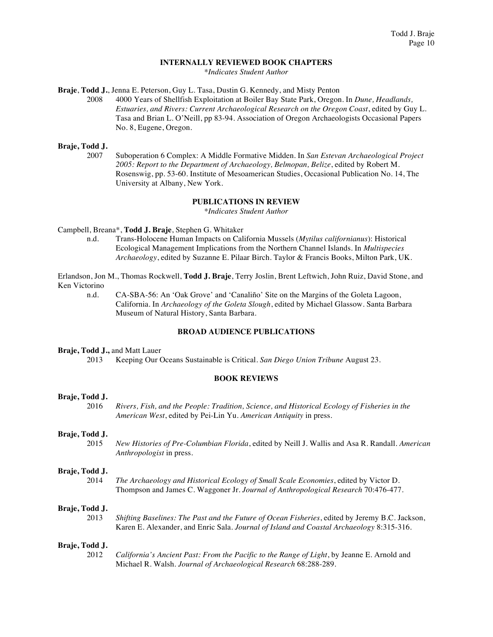## **INTERNALLY REVIEWED BOOK CHAPTERS**

*\*Indicates Student Author*

**Braje**, **Todd J.**, Jenna E. Peterson, Guy L. Tasa, Dustin G. Kennedy, and Misty Penton

2008 4000 Years of Shellfish Exploitation at Boiler Bay State Park, Oregon. In *Dune, Headlands, Estuaries, and Rivers: Current Archaeological Research on the Oregon Coast*, edited by Guy L. Tasa and Brian L. O'Neill, pp 83-94. Association of Oregon Archaeologists Occasional Papers No. 8, Eugene, Oregon.

## **Braje, Todd J.**

2007 Suboperation 6 Complex: A Middle Formative Midden. In *San Estevan Archaeological Project 2005: Report to the Department of Archaeology, Belmopan, Belize*, edited by Robert M. Rosenswig, pp. 53-60. Institute of Mesoamerican Studies, Occasional Publication No. 14, The University at Albany, New York.

## **PUBLICATIONS IN REVIEW**

*\*Indicates Student Author*

Campbell, Breana\*, **Todd J. Braje**, Stephen G. Whitaker

n.d. Trans-Holocene Human Impacts on California Mussels (*Mytilus californianus*): Historical Ecological Management Implications from the Northern Channel Islands. In *Multispecies Archaeology*, edited by Suzanne E. Pilaar Birch. Taylor & Francis Books, Milton Park, UK.

Erlandson, Jon M., Thomas Rockwell, **Todd J. Braje**, Terry Joslin, Brent Leftwich, John Ruiz, David Stone, and Ken Victorino

n.d. CA-SBA-56: An 'Oak Grove' and 'Canaliño' Site on the Margins of the Goleta Lagoon, California. In *Archaeology of the Goleta Slough*, edited by Michael Glassow. Santa Barbara Museum of Natural History, Santa Barbara.

## **BROAD AUDIENCE PUBLICATIONS**

## **Braje, Todd J.,** and Matt Lauer

2013 Keeping Our Oceans Sustainable is Critical. *San Diego Union Tribune* August 23.

## **BOOK REVIEWS**

## **Braje, Todd J.**

2016 *Rivers, Fish, and the People: Tradition, Science, and Historical Ecology of Fisheries in the American West*, edited by Pei-Lin Yu. *American Antiquity* in press.

## **Braje, Todd J.**

2015 *New Histories of Pre-Columbian Florida*, edited by Neill J. Wallis and Asa R. Randall. *American Anthropologist* in press.

#### **Braje, Todd J.**

2014 *The Archaeology and Historical Ecology of Small Scale Economies*, edited by Victor D. Thompson and James C. Waggoner Jr. *Journal of Anthropological Research* 70:476-477.

#### **Braje, Todd J.**

2013 *Shifting Baselines: The Past and the Future of Ocean Fisheries*, edited by Jeremy B.C. Jackson, Karen E. Alexander, and Enric Sala. *Journal of Island and Coastal Archaeology* 8:315-316.

## **Braje, Todd J.**

2012 *California's Ancient Past: From the Pacific to the Range of Light*, by Jeanne E. Arnold and Michael R. Walsh. *Journal of Archaeological Research* 68:288-289.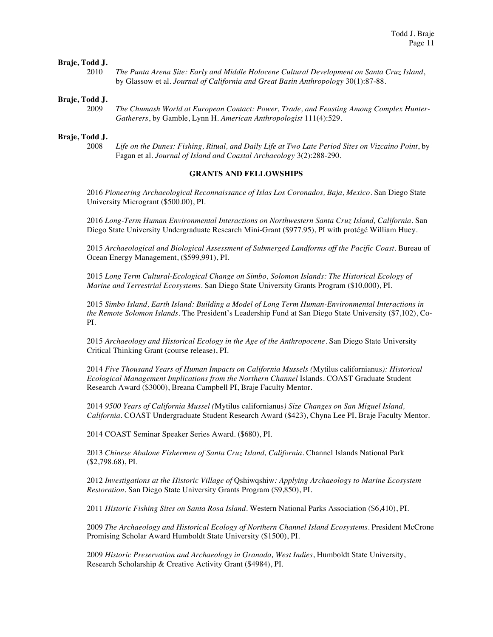## **Braje, Todd J.**

| 2010 | The Punta Arena Site: Early and Middle Holocene Cultural Development on Santa Cruz Island, |
|------|--------------------------------------------------------------------------------------------|
|      | by Glassow et al. Journal of California and Great Basin Anthropology 30(1):87-88.          |

#### **Braje, Todd J.**

2009 *The Chumash World at European Contact: Power, Trade, and Feasting Among Complex Hunter-Gatherers*, by Gamble, Lynn H. *American Anthropologist* 111(4):529.

## **Braje, Todd J.**

2008 *Life on the Dunes: Fishing, Ritual, and Daily Life at Two Late Period Sites on Vizcaino Point*, by Fagan et al. *Journal of Island and Coastal Archaeology* 3(2):288-290.

#### **GRANTS AND FELLOWSHIPS**

2016 *Pioneering Archaeological Reconnaissance of Islas Los Coronados, Baja, Mexico*. San Diego State University Microgrant (\$500.00), PI.

2016 *Long-Term Human Environmental Interactions on Northwestern Santa Cruz Island, California*. San Diego State University Undergraduate Research Mini-Grant (\$977.95), PI with protégé William Huey.

2015 *Archaeological and Biological Assessment of Submerged Landforms off the Pacific Coast*. Bureau of Ocean Energy Management, (\$599,991), PI.

2015 *Long Term Cultural-Ecological Change on Simbo, Solomon Islands: The Historical Ecology of Marine and Terrestrial Ecosystems*. San Diego State University Grants Program (\$10,000), PI.

2015 *Simbo Island, Earth Island: Building a Model of Long Term Human-Environmental Interactions in the Remote Solomon Islands*. The President's Leadership Fund at San Diego State University (\$7,102), Co-PI.

2015 *Archaeology and Historical Ecology in the Age of the Anthropocene*. San Diego State University Critical Thinking Grant (course release), PI.

2014 *Five Thousand Years of Human Impacts on California Mussels (*Mytilus californianus*): Historical Ecological Management Implications from the Northern Channel* Islands. COAST Graduate Student Research Award (\$3000), Breana Campbell PI, Braje Faculty Mentor.

2014 *9500 Years of California Mussel (*Mytilus californianus*) Size Changes on San Miguel Island, California*. COAST Undergraduate Student Research Award (\$423), Chyna Lee PI, Braje Faculty Mentor.

2014 COAST Seminar Speaker Series Award. (\$680), PI.

2013 *Chinese Abalone Fishermen of Santa Cruz Island, California*. Channel Islands National Park (\$2,798.68), PI.

2012 *Investigations at the Historic Village of* Qshiwqshiw*: Applying Archaeology to Marine Ecosystem Restoration*. San Diego State University Grants Program (\$9,850), PI.

2011 *Historic Fishing Sites on Santa Rosa Island*. Western National Parks Association (\$6,410), PI.

2009 *The Archaeology and Historical Ecology of Northern Channel Island Ecosystems*. President McCrone Promising Scholar Award Humboldt State University (\$1500), PI.

2009 *Historic Preservation and Archaeology in Granada, West Indies*, Humboldt State University, Research Scholarship & Creative Activity Grant (\$4984), PI.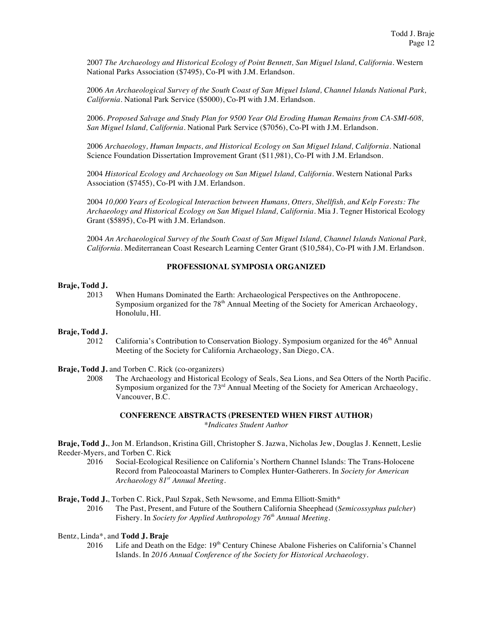2007 *The Archaeology and Historical Ecology of Point Bennett, San Miguel Island, California*. Western National Parks Association (\$7495), Co-PI with J.M. Erlandson.

2006 *An Archaeological Survey of the South Coast of San Miguel Island, Channel Islands National Park, California*. National Park Service (\$5000), Co-PI with J.M. Erlandson.

2006. *Proposed Salvage and Study Plan for 9500 Year Old Eroding Human Remains from CA-SMI-608, San Miguel Island, California*. National Park Service (\$7056), Co-PI with J.M. Erlandson.

2006 *Archaeology, Human Impacts, and Historical Ecology on San Miguel Island, California*. National Science Foundation Dissertation Improvement Grant (\$11,981), Co-PI with J.M. Erlandson.

2004 *Historical Ecology and Archaeology on San Miguel Island, California*. Western National Parks Association (\$7455), Co-PI with J.M. Erlandson.

2004 *10,000 Years of Ecological Interaction between Humans, Otters, Shellfish, and Kelp Forests: The Archaeology and Historical Ecology on San Miguel Island, California*. Mia J. Tegner Historical Ecology Grant (\$5895), Co-PI with J.M. Erlandson.

2004 *An Archaeological Survey of the South Coast of San Miguel Island, Channel Islands National Park, California*. Mediterranean Coast Research Learning Center Grant (\$10,584), Co-PI with J.M. Erlandson.

## **PROFESSIONAL SYMPOSIA ORGANIZED**

## **Braje, Todd J.**

2013 When Humans Dominated the Earth: Archaeological Perspectives on the Anthropocene. Symposium organized for the  $78<sup>th</sup>$  Annual Meeting of the Society for American Archaeology, Honolulu, HI.

## **Braje, Todd J.**

2012 California's Contribution to Conservation Biology. Symposium organized for the  $46<sup>th</sup>$  Annual Meeting of the Society for California Archaeology, San Diego, CA.

**Braje, Todd J.** and Torben C. Rick (co-organizers)

2008 The Archaeology and Historical Ecology of Seals, Sea Lions, and Sea Otters of the North Pacific. Symposium organized for the  $73<sup>rd</sup>$  Annual Meeting of the Society for American Archaeology, Vancouver, B.C.

## **CONFERENCE ABSTRACTS (PRESENTED WHEN FIRST AUTHOR)** *\*Indicates Student Author*

**Braje, Todd J.**, Jon M. Erlandson, Kristina Gill, Christopher S. Jazwa, Nicholas Jew, Douglas J. Kennett, Leslie Reeder-Myers, and Torben C. Rick

2016 Social-Ecological Resilience on California's Northern Channel Islands: The Trans-Holocene Record from Paleocoastal Mariners to Complex Hunter-Gatherers. In *Society for American Archaeology 81st Annual Meeting.*

**Braje, Todd J.**, Torben C. Rick, Paul Szpak, Seth Newsome, and Emma Elliott-Smith\*

2016 The Past, Present, and Future of the Southern California Sheephead (*Semicossyphus pulcher*) Fishery. In *Society for Applied Anthropology 76th Annual Meeting*.

- Bentz, Linda\*, and **Todd J. Braje**
	- 2016 Life and Death on the Edge: 19<sup>th</sup> Century Chinese Abalone Fisheries on California's Channel Islands. In *2016 Annual Conference of the Society for Historical Archaeology*.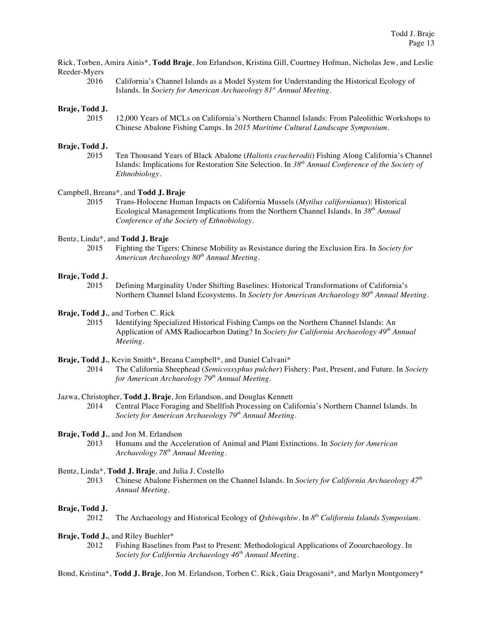Rick, Torben, Amira Ainis\*, **Todd Braje**, Jon Erlandson, Kristina Gill, Courtney Hofman, Nicholas Jew, and Leslie Reeder-Myers

2016 California's Channel Islands as a Model System for Understanding the Historical Ecology of Islands. In *Society for American Archaeology 81st Annual Meeting*.

### **Braje, Todd J.**

2015 12,000 Years of MCLs on California's Northern Channel Islands: From Paleolithic Workshops to Chinese Abalone Fishing Camps. In *2015 Maritime Cultural Landscape Symposium*.

#### **Braje, Todd J.**

2015 Ten Thousand Years of Black Abalone (*Haliotis cracherodii*) Fishing Along California's Channel Islands: Implications for Restoration Site Selection. In *38th Annual Conference of the Society of Ethnobiology*.

#### Campbell, Breana\*, and **Todd J. Braje**

2015 Trans-Holocene Human Impacts on California Mussels (*Mytilus californianus*): Historical Ecological Management Implications from the Northern Channel Islands. In *38th Annual Conference of the Society of Ethnobiology*.

## Bentz, Linda\*, and **Todd J. Braje**

2015 Fighting the Tigers: Chinese Mobility as Resistance during the Exclusion Era. In *Society for American Archaeology 80th Annual Meeting*.

#### **Braje, Todd J.**

2015 Defining Marginality Under Shifting Baselines: Historical Transformations of California's Northern Channel Island Ecosystems. In *Society for American Archaeology 80th Annual Meeting*.

## **Braje, Todd J.**, and Torben C. Rick

2015 Identifying Specialized Historical Fishing Camps on the Northern Channel Islands: An Application of AMS Radiocarbon Dating? In *Society for California Archaeology 49th Annual Meeting.*

**Braje, Todd J.**, Kevin Smith\*, Breana Campbell\*, and Daniel Calvani\*

- 2014 The California Sheephead (*Semicossyphus pulcher*) Fishery: Past, Present, and Future. In *Society for American Archaeology 79th Annual Meeting*.
- Jazwa, Christopher, **Todd J. Braje**, Jon Erlandson, and Douglas Kennett
	- 2014 Central Place Foraging and Shellfish Processing on California's Northern Channel Islands. In *Society for American Archaeology 79th Annual Meeting*.

## **Braje, Todd J.**, and Jon M. Erlandson

2013 Humans and the Acceleration of Animal and Plant Extinctions. In *Society for American Archaeology 78th Annual Meeting*.

#### Bentz, Linda\*, **Todd J. Braje**, and Julia J. Costello

2013 Chinese Abalone Fishermen on the Channel Islands. In *Society for California Archaeology 47th Annual Meeting.*

#### **Braje, Todd J.**

2012 The Archaeology and Historical Ecology of *Qshiwqshiw*. In *8th California Islands Symposium*.

#### **Braje, Todd J.**, and Riley Buehler\*

2012 Fishing Baselines from Past to Present: Methodological Applications of Zooarchaeology. In *Society for California Archaeology 46th Annual Meeting.*

Bond, Kristina\*, **Todd J. Braje**, Jon M. Erlandson, Torben C. Rick, Gaia Dragosani\*, and Marlyn Montgomery\*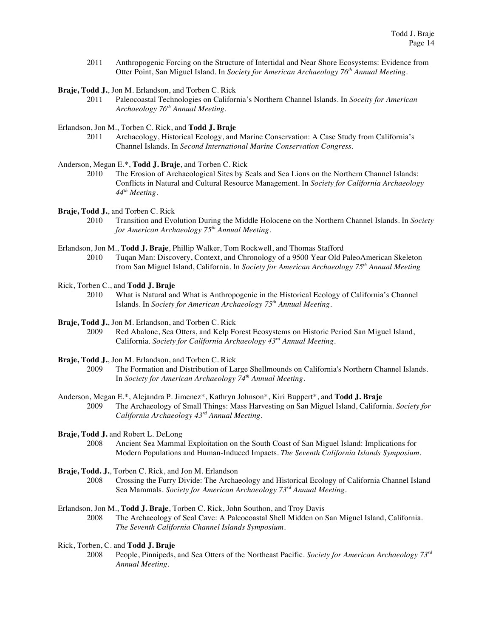2011 Anthropogenic Forcing on the Structure of Intertidal and Near Shore Ecosystems: Evidence from Otter Point, San Miguel Island. In *Society for American Archaeology 76th Annual Meeting*.

**Braje, Todd J.**, Jon M. Erlandson, and Torben C. Rick

2011 Paleocoastal Technologies on California's Northern Channel Islands. In *Soceity for American Archaeology 76th Annual Meeting*.

Erlandson, Jon M., Torben C. Rick, and **Todd J. Braje**

2011 Archaeology, Historical Ecology, and Marine Conservation: A Case Study from California's Channel Islands. In *Second International Marine Conservation Congress*.

Anderson, Megan E.\*, **Todd J. Braje**, and Torben C. Rick

2010 The Erosion of Archaeological Sites by Seals and Sea Lions on the Northern Channel Islands: Conflicts in Natural and Cultural Resource Management. In *Society for California Archaeology 44th Meeting.*

**Braje, Todd J.**, and Torben C. Rick

- 2010 Transition and Evolution During the Middle Holocene on the Northern Channel Islands. In *Society for American Archaeology 75th Annual Meeting*.
- Erlandson, Jon M., **Todd J. Braje**, Phillip Walker, Tom Rockwell, and Thomas Stafford 2010 Tuqan Man: Discovery, Context, and Chronology of a 9500 Year Old PaleoAmerican Skeleton from San Miguel Island, California. In *Society for American Archaeology 75th Annual Meeting*
- Rick, Torben C., and **Todd J. Braje**
	- 2010 What is Natural and What is Anthropogenic in the Historical Ecology of California's Channel Islands. In *Society for American Archaeology 75th Annual Meeting*.
- **Braje, Todd J.**, Jon M. Erlandson, and Torben C. Rick
	- 2009 Red Abalone, Sea Otters, and Kelp Forest Ecosystems on Historic Period San Miguel Island, California. *Society for California Archaeology 43rd Annual Meeting*.
- **Braje, Todd J.**, Jon M. Erlandson, and Torben C. Rick
	- 2009 The Formation and Distribution of Large Shellmounds on California's Northern Channel Islands. In *Society for American Archaeology 74th Annual Meeting*.
- Anderson, Megan E.\*, Alejandra P. Jimenez\*, Kathryn Johnson\*, Kiri Buppert\*, and **Todd J. Braje** 2009 The Archaeology of Small Things: Mass Harvesting on San Miguel Island, California. *Society for California Archaeology 43rd Annual Meeting*.
- **Braje, Todd J.** and Robert L. DeLong
	- 2008 Ancient Sea Mammal Exploitation on the South Coast of San Miguel Island: Implications for Modern Populations and Human-Induced Impacts. *The Seventh California Islands Symposium*.
- **Braje, Todd. J.**, Torben C. Rick, and Jon M. Erlandson
	- 2008 Crossing the Furry Divide: The Archaeology and Historical Ecology of California Channel Island Sea Mammals. *Society for American Archaeology 73rd Annual Meeting*.
- Erlandson, Jon M., **Todd J. Braje**, Torben C. Rick, John Southon, and Troy Davis
	- 2008 The Archaeology of Seal Cave: A Paleocoastal Shell Midden on San Miguel Island, California. *The Seventh California Channel Islands Symposium*.
- Rick, Torben, C. and **Todd J. Braje**
	- 2008 People, Pinnipeds, and Sea Otters of the Northeast Pacific. *Society for American Archaeology 73rd Annual Meeting*.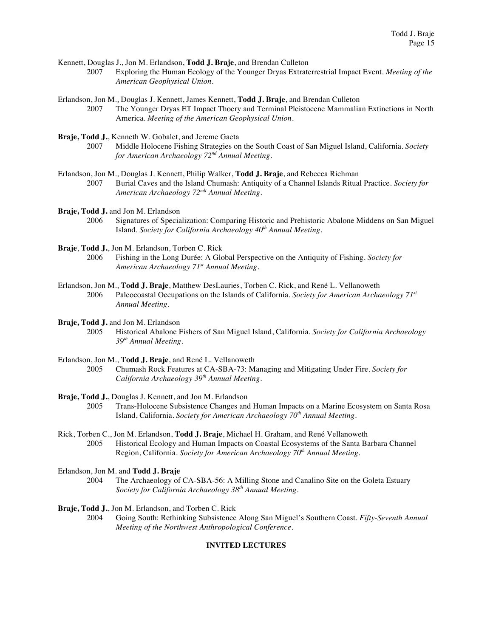Kennett, Douglas J., Jon M. Erlandson, **Todd J. Braje**, and Brendan Culleton

2007 Exploring the Human Ecology of the Younger Dryas Extraterrestrial Impact Event. *Meeting of the American Geophysical Union*.

Erlandson, Jon M., Douglas J. Kennett, James Kennett, **Todd J. Braje**, and Brendan Culleton

2007 The Younger Dryas ET Impact Thoery and Terminal Pleistocene Mammalian Extinctions in North America. *Meeting of the American Geophysical Union*.

**Braje, Todd J.**, Kenneth W. Gobalet, and Jereme Gaeta

- 2007 Middle Holocene Fishing Strategies on the South Coast of San Miguel Island, California. *Society for American Archaeology 72nd Annual Meeting*.
- Erlandson, Jon M., Douglas J. Kennett, Philip Walker, **Todd J. Braje**, and Rebecca Richman
	- 2007 Burial Caves and the Island Chumash: Antiquity of a Channel Islands Ritual Practice. *Society for American Archaeology 72ndt Annual Meeting.*

**Braje, Todd J.** and Jon M. Erlandson

- 2006 Signatures of Specialization: Comparing Historic and Prehistoric Abalone Middens on San Miguel Island. *Society for California Archaeology 40th Annual Meeting*.
- **Braje**, **Todd J.**, Jon M. Erlandson, Torben C. Rick
	- 2006 Fishing in the Long Durée: A Global Perspective on the Antiquity of Fishing. *Society for American Archaeology 71st Annual Meeting.*
- Erlandson, Jon M., **Todd J. Braje**, Matthew DesLauries, Torben C. Rick, and René L. Vellanoweth 2006 Paleocoastal Occupations on the Islands of California. *Society for American Archaeology 71st Annual Meeting.*
- **Braje, Todd J.** and Jon M. Erlandson
	- 2005 Historical Abalone Fishers of San Miguel Island, California. *Society for California Archaeology 39th Annual Meeting*.
- Erlandson, Jon M., **Todd J. Braje**, and René L. Vellanoweth
	- 2005 Chumash Rock Features at CA-SBA-73: Managing and Mitigating Under Fire. *Society for California Archaeology 39th Annual Meeting*.

**Braje, Todd J.**, Douglas J. Kennett, and Jon M. Erlandson

- 2005 Trans-Holocene Subsistence Changes and Human Impacts on a Marine Ecosystem on Santa Rosa Island, California. *Society for American Archaeology 70th Annual Meeting*.
- Rick, Torben C., Jon M. Erlandson, **Todd J. Braje**, Michael H. Graham, and René Vellanoweth 2005 Historical Ecology and Human Impacts on Coastal Ecosystems of the Santa Barbara Channel Region, California. *Society for American Archaeology 70th Annual Meeting*.

Erlandson, Jon M. and **Todd J. Braje**

2004 The Archaeology of CA-SBA-56: A Milling Stone and Canalino Site on the Goleta Estuary *Society for California Archaeology 38th Annual Meeting*.

**Braje, Todd J.**, Jon M. Erlandson, and Torben C. Rick

2004 Going South: Rethinking Subsistence Along San Miguel's Southern Coast. *Fifty-Seventh Annual Meeting of the Northwest Anthropological Conference*.

## **INVITED LECTURES**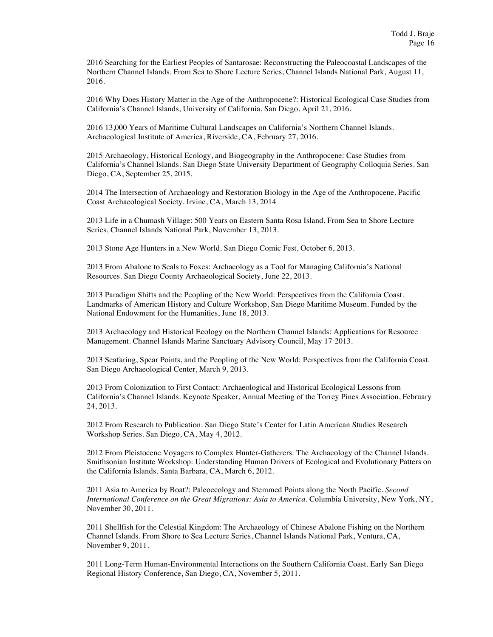2016 Searching for the Earliest Peoples of Santarosae: Reconstructing the Paleocoastal Landscapes of the Northern Channel Islands. From Sea to Shore Lecture Series, Channel Islands National Park, August 11, 2016.

2016 Why Does History Matter in the Age of the Anthropocene?: Historical Ecological Case Studies from California's Channel Islands, University of California, San Diego, April 21, 2016.

2016 13,000 Years of Maritime Cultural Landscapes on California's Northern Channel Islands. Archaeological Institute of America, Riverside, CA, February 27, 2016.

2015 Archaeology, Historical Ecology, and Biogeography in the Anthropocene: Case Studies from California's Channel Islands. San Diego State University Department of Geography Colloquia Series. San Diego, CA, September 25, 2015.

2014 The Intersection of Archaeology and Restoration Biology in the Age of the Anthropocene. Pacific Coast Archaeological Society. Irvine, CA, March 13, 2014

2013 Life in a Chumash Village: 500 Years on Eastern Santa Rosa Island. From Sea to Shore Lecture Series, Channel Islands National Park, November 13, 2013.

2013 Stone Age Hunters in a New World. San Diego Comic Fest, October 6, 2013.

2013 From Abalone to Seals to Foxes: Archaeology as a Tool for Managing California's National Resources. San Diego County Archaeological Society, June 22, 2013.

2013 Paradigm Shifts and the Peopling of the New World: Perspectives from the California Coast. Landmarks of American History and Culture Workshop, San Diego Maritime Museum. Funded by the National Endowment for the Humanities, June 18, 2013.

2013 Archaeology and Historical Ecology on the Northern Channel Islands: Applications for Resource Management. Channel Islands Marine Sanctuary Advisory Council, May 17 2013.

2013 Seafaring, Spear Points, and the Peopling of the New World: Perspectives from the California Coast. San Diego Archaeological Center, March 9, 2013.

2013 From Colonization to First Contact: Archaeological and Historical Ecological Lessons from California's Channel Islands. Keynote Speaker, Annual Meeting of the Torrey Pines Association, February 24, 2013.

2012 From Research to Publication. San Diego State's Center for Latin American Studies Research Workshop Series. San Diego, CA, May 4, 2012.

2012 From Pleistocene Voyagers to Complex Hunter-Gatherers: The Archaeology of the Channel Islands. Smithsonian Institute Workshop: Understanding Human Drivers of Ecological and Evolutionary Patters on the California Islands. Santa Barbara, CA, March 6, 2012.

2011 Asia to America by Boat?: Paleoecology and Stemmed Points along the North Pacific. *Second International Conference on the Great Migrations: Asia to America*. Columbia University, New York, NY, November 30, 2011.

2011 Shellfish for the Celestial Kingdom: The Archaeology of Chinese Abalone Fishing on the Northern Channel Islands. From Shore to Sea Lecture Series, Channel Islands National Park, Ventura, CA, November 9, 2011.

2011 Long-Term Human-Environmental Interactions on the Southern California Coast. Early San Diego Regional History Conference, San Diego, CA, November 5, 2011.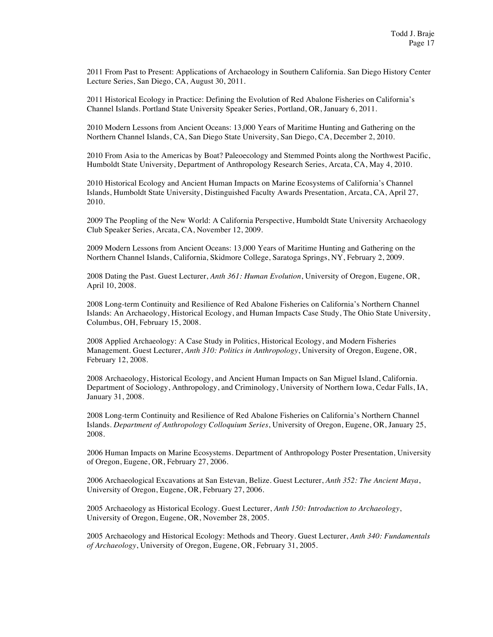2011 From Past to Present: Applications of Archaeology in Southern California. San Diego History Center Lecture Series, San Diego, CA, August 30, 2011.

2011 Historical Ecology in Practice: Defining the Evolution of Red Abalone Fisheries on California's Channel Islands. Portland State University Speaker Series, Portland, OR, January 6, 2011.

2010 Modern Lessons from Ancient Oceans: 13,000 Years of Maritime Hunting and Gathering on the Northern Channel Islands, CA, San Diego State University, San Diego, CA, December 2, 2010.

2010 From Asia to the Americas by Boat? Paleoecology and Stemmed Points along the Northwest Pacific, Humboldt State University, Department of Anthropology Research Series, Arcata, CA, May 4, 2010.

2010 Historical Ecology and Ancient Human Impacts on Marine Ecosystems of California's Channel Islands, Humboldt State University, Distinguished Faculty Awards Presentation, Arcata, CA, April 27, 2010.

2009 The Peopling of the New World: A California Perspective, Humboldt State University Archaeology Club Speaker Series, Arcata, CA, November 12, 2009.

2009 Modern Lessons from Ancient Oceans: 13,000 Years of Maritime Hunting and Gathering on the Northern Channel Islands, California, Skidmore College, Saratoga Springs, NY, February 2, 2009.

2008 Dating the Past. Guest Lecturer, *Anth 361: Human Evolution*, University of Oregon, Eugene, OR, April 10, 2008.

2008 Long-term Continuity and Resilience of Red Abalone Fisheries on California's Northern Channel Islands: An Archaeology, Historical Ecology, and Human Impacts Case Study, The Ohio State University, Columbus, OH, February 15, 2008.

2008 Applied Archaeology: A Case Study in Politics, Historical Ecology, and Modern Fisheries Management. Guest Lecturer, *Anth 310: Politics in Anthropology*, University of Oregon, Eugene, OR, February 12, 2008.

2008 Archaeology, Historical Ecology, and Ancient Human Impacts on San Miguel Island, California. Department of Sociology, Anthropology, and Criminology, University of Northern Iowa, Cedar Falls, IA, January 31, 2008.

2008 Long-term Continuity and Resilience of Red Abalone Fisheries on California's Northern Channel Islands. *Department of Anthropology Colloquium Series*, University of Oregon, Eugene, OR, January 25, 2008.

2006 Human Impacts on Marine Ecosystems. Department of Anthropology Poster Presentation, University of Oregon, Eugene, OR, February 27, 2006.

2006 Archaeological Excavations at San Estevan, Belize. Guest Lecturer, *Anth 352: The Ancient Maya*, University of Oregon, Eugene, OR, February 27, 2006.

2005 Archaeology as Historical Ecology. Guest Lecturer, *Anth 150: Introduction to Archaeology*, University of Oregon, Eugene, OR, November 28, 2005.

2005 Archaeology and Historical Ecology: Methods and Theory. Guest Lecturer, *Anth 340: Fundamentals of Archaeology*, University of Oregon, Eugene, OR, February 31, 2005.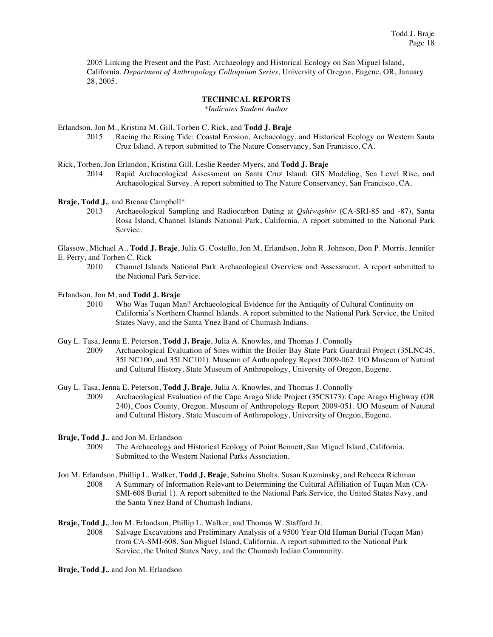2005 Linking the Present and the Past: Archaeology and Historical Ecology on San Miguel Island, California. *Department of Anthropology Colloquium Series*, University of Oregon, Eugene, OR, January 28, 2005.

## **TECHNICAL REPORTS**

*\*Indicates Student Author*

Erlandson, Jon M., Kristina M. Gill, Torben C. Rick, and **Todd J. Braje**

Racing the Rising Tide: Coastal Erosion, Archaeology, and Historical Ecology on Western Santa Cruz Island. A report submitted to The Nature Conservancy, San Francisco, CA.

Rick, Torben, Jon Erlandon, Kristina Gill, Leslie Reeder-Myers, and **Todd J. Braje**

2014 Rapid Archaeological Assessment on Santa Cruz Island: GIS Modeling, Sea Level Rise, and Archaeological Survey. A report submitted to The Nature Conservancy, San Francisco, CA.

**Braje, Todd J.**, and Breana Campbell\*

2013 Archaeological Sampling and Radiocarbon Dating at *Qshiwqshiw* (CA-SRI-85 and -87), Santa Rosa Island, Channel Islands National Park, California. A report submitted to the National Park Service.

Glassow, Michael A., **Todd J. Braje**, Julia G. Costello, Jon M. Erlandson, John R. Johnson, Don P. Morris, Jennifer E. Perry, and Torben C. Rick

2010 Channel Islands National Park Archaeological Overview and Assessment. A report submitted to the National Park Service.

Erlandson, Jon M, and **Todd J. Braje**

2010 Who Was Tuqan Man? Archaeological Evidence for the Antiquity of Cultural Continuity on California's Northern Channel Islands. A report submitted to the National Park Service, the United States Navy, and the Santa Ynez Band of Chumash Indians.

Guy L. Tasa, Jenna E. Peterson, **Todd J. Braje**, Julia A. Knowles, and Thomas J. Connolly

2009 Archaeological Evaluation of Sites within the Boiler Bay State Park Guardrail Project (35LNC45, 35LNC100, and 35LNC101). Museum of Anthropology Report 2009-062. UO Museum of Natural and Cultural History, State Museum of Anthropology, University of Oregon, Eugene.

Guy L. Tasa, Jenna E. Peterson, **Todd J. Braje**, Julia A. Knowles, and Thomas J. Connolly

2009 Archaeological Evaluation of the Cape Arago Slide Project (35CS173): Cape Arago Highway (OR 240), Coos County, Oregon. Museum of Anthropology Report 2009-051. UO Museum of Natural and Cultural History, State Museum of Anthropology, University of Oregon, Eugene.

**Braje, Todd J.**, and Jon M. Erlandson<br>2009 The Archaeology and

- The Archaeology and Historical Ecology of Point Bennett, San Miguel Island, California. Submitted to the Western National Parks Association.
- Jon M. Erlandson, Phillip L. Walker, **Todd J. Braje**, Sabrina Sholts, Susan Kuzminsky, and Rebecca Richman 2008 A Summary of Information Relevant to Determining the Cultural Affiliation of Tuqan Man (CA-SMI-608 Burial 1). A report submitted to the National Park Service, the United States Navy, and the Santa Ynez Band of Chumash Indians.

**Braje, Todd J.**, Jon M. Erlandson, Phillip L. Walker, and Thomas W. Stafford Jr.

2008 Salvage Excavations and Preliminary Analysis of a 9500 Year Old Human Burial (Tuqan Man) from CA-SMI-608, San Miguel Island, California. A report submitted to the National Park Service, the United States Navy, and the Chumash Indian Community.

**Braje, Todd J.**, and Jon M. Erlandson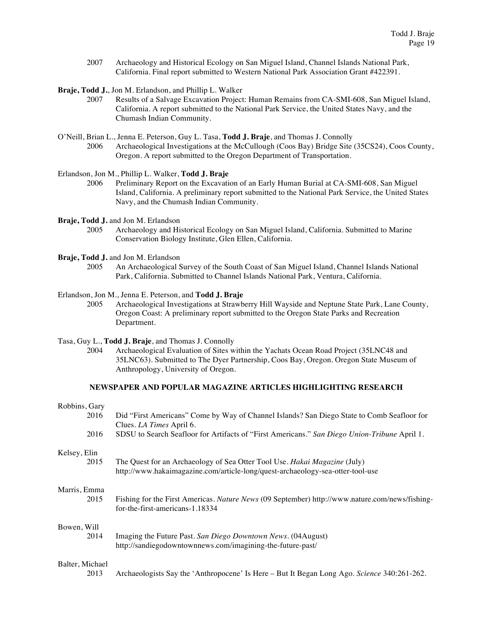2007 Archaeology and Historical Ecology on San Miguel Island, Channel Islands National Park, California. Final report submitted to Western National Park Association Grant #422391.

**Braje, Todd J.**, Jon M. Erlandson, and Phillip L. Walker

- 2007 Results of a Salvage Excavation Project: Human Remains from CA-SMI-608, San Miguel Island, California. A report submitted to the National Park Service, the United States Navy, and the Chumash Indian Community.
- O'Neill, Brian L., Jenna E. Peterson, Guy L. Tasa, **Todd J. Braje**, and Thomas J. Connolly 2006 Archaeological Investigations at the McCullough (Coos Bay) Bridge Site (35CS24), Coos County, Oregon. A report submitted to the Oregon Department of Transportation.

Erlandson, Jon M., Phillip L. Walker, **Todd J. Braje**

2006 Preliminary Report on the Excavation of an Early Human Burial at CA-SMI-608, San Miguel Island, California. A preliminary report submitted to the National Park Service, the United States Navy, and the Chumash Indian Community.

**Braje, Todd J.** and Jon M. Erlandson

2005 Archaeology and Historical Ecology on San Miguel Island, California. Submitted to Marine Conservation Biology Institute, Glen Ellen, California.

**Braje, Todd J.** and Jon M. Erlandson

2005 An Archaeological Survey of the South Coast of San Miguel Island, Channel Islands National Park, California. Submitted to Channel Islands National Park, Ventura, California.

Erlandson, Jon M., Jenna E. Peterson, and **Todd J. Braje**

- 2005 Archaeological Investigations at Strawberry Hill Wayside and Neptune State Park, Lane County, Oregon Coast: A preliminary report submitted to the Oregon State Parks and Recreation Department.
- Tasa, Guy L., **Todd J. Braje**, and Thomas J. Connolly
	- 2004 Archaeological Evaluation of Sites within the Yachats Ocean Road Project (35LNC48 and 35LNC63). Submitted to The Dyer Partnership, Coos Bay, Oregon. Oregon State Museum of Anthropology, University of Oregon.

## **NEWSPAPER AND POPULAR MAGAZINE ARTICLES HIGHLIGHTING RESEARCH**

| Robbins, Gary   |                                                                                                                                                             |
|-----------------|-------------------------------------------------------------------------------------------------------------------------------------------------------------|
| 2016            | Did "First Americans" Come by Way of Channel Islands? San Diego State to Comb Seafloor for<br>Clues. <i>LA Times</i> April 6.                               |
| 2016            | SDSU to Search Seafloor for Artifacts of "First Americans." San Diego Union-Tribune April 1.                                                                |
| Kelsey, Elin    |                                                                                                                                                             |
| 2015            | The Quest for an Archaeology of Sea Otter Tool Use. Hakai Magazine (July)<br>http://www.hakaimagazine.com/article-long/quest-archaeology-sea-otter-tool-use |
| Marris, Emma    |                                                                                                                                                             |
| 2015            | Fishing for the First Americas. Nature News (09 September) http://www.nature.com/news/fishing-<br>for-the-first-americans-1.18334                           |
| Bowen, Will     |                                                                                                                                                             |
| 2014            | Imaging the Future Past. San Diego Downtown News. (04 August)<br>http://sandiegodowntownnews.com/imagining-the-future-past/                                 |
| Balter, Michael |                                                                                                                                                             |
| 2013            | Archaeologists Say the 'Anthropocene' Is Here – But It Began Long Ago. Science 340:261-262.                                                                 |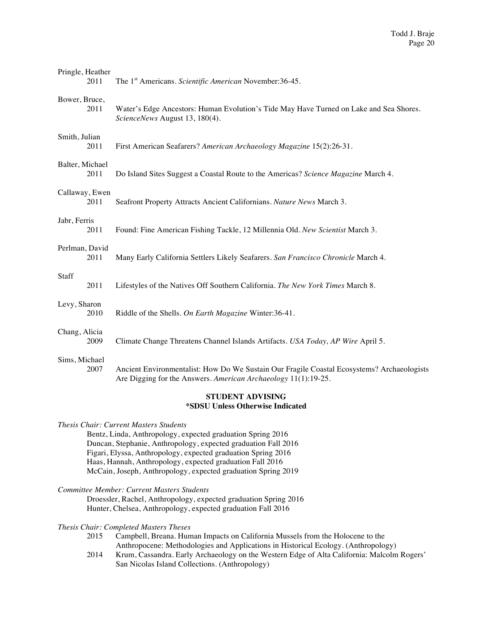| Pringle, Heather<br>2011               | The 1 <sup>st</sup> Americans. Scientific American November:36-45.                                                                                           |  |  |  |  |
|----------------------------------------|--------------------------------------------------------------------------------------------------------------------------------------------------------------|--|--|--|--|
| Bower, Bruce,<br>2011                  | Water's Edge Ancestors: Human Evolution's Tide May Have Turned on Lake and Sea Shores.<br>ScienceNews August 13, 180(4).                                     |  |  |  |  |
| Smith, Julian<br>2011                  | First American Seafarers? American Archaeology Magazine 15(2):26-31.                                                                                         |  |  |  |  |
| Balter, Michael<br>2011                | Do Island Sites Suggest a Coastal Route to the Americas? Science Magazine March 4.                                                                           |  |  |  |  |
| Callaway, Ewen<br>2011                 | Seafront Property Attracts Ancient Californians. Nature News March 3.                                                                                        |  |  |  |  |
| Jabr, Ferris<br>2011                   | Found: Fine American Fishing Tackle, 12 Millennia Old. New Scientist March 3.                                                                                |  |  |  |  |
| Perlman, David<br>2011                 | Many Early California Settlers Likely Seafarers. San Francisco Chronicle March 4.                                                                            |  |  |  |  |
| Staff<br>2011                          | Lifestyles of the Natives Off Southern California. The New York Times March 8.                                                                               |  |  |  |  |
| Levy, Sharon<br>2010                   | Riddle of the Shells. On Earth Magazine Winter:36-41.                                                                                                        |  |  |  |  |
| Chang, Alicia<br>2009                  | Climate Change Threatens Channel Islands Artifacts. USA Today, AP Wire April 5.                                                                              |  |  |  |  |
| Sims, Michael<br>2007                  | Ancient Environmentalist: How Do We Sustain Our Fragile Coastal Ecosystems? Archaeologists<br>Are Digging for the Answers. American Archaeology 11(1):19-25. |  |  |  |  |
| STUDENT ADVISING<br><b>ACINOTI II.</b> |                                                                                                                                                              |  |  |  |  |

# **\*SDSU Unless Otherwise Indicated**

*Thesis Chair: Current Masters Students* Bentz, Linda, Anthropology, expected graduation Spring 2016 Duncan, Stephanie, Anthropology, expected graduation Fall 2016 Figari, Elyssa, Anthropology, expected graduation Spring 2016 Haas, Hannah, Anthropology, expected graduation Fall 2016 McCain, Joseph, Anthropology, expected graduation Spring 2019

*Committee Member: Current Masters Students*

Droessler, Rachel, Anthropology, expected graduation Spring 2016 Hunter, Chelsea, Anthropology, expected graduation Fall 2016

# *Thesis Chair: Completed Masters Theses*

- Campbell, Breana. Human Impacts on California Mussels from the Holocene to the Anthropocene: Methodologies and Applications in Historical Ecology. (Anthropology)
- 2014 Krum, Cassandra. Early Archaeology on the Western Edge of Alta California: Malcolm Rogers' San Nicolas Island Collections. (Anthropology)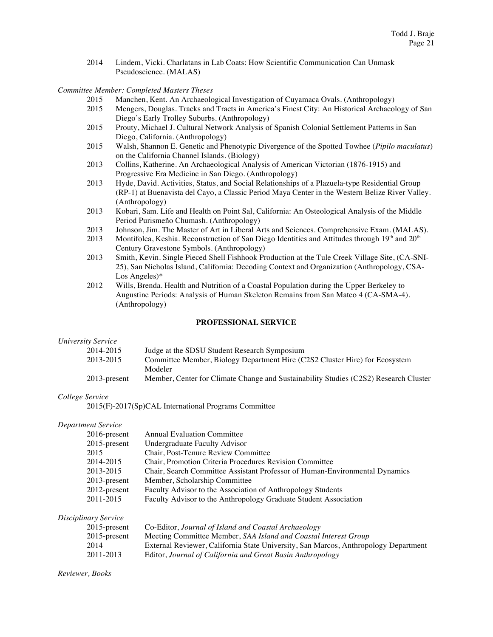2014 Lindem, Vicki. Charlatans in Lab Coats: How Scientific Communication Can Unmask Pseudoscience. (MALAS)

*Committee Member: Completed Masters Theses*

- 2015 Manchen, Kent. An Archaeological Investigation of Cuyamaca Ovals. (Anthropology)
- 2015 Mengers, Douglas. Tracks and Tracts in America's Finest City: An Historical Archaeology of San Diego's Early Trolley Suburbs. (Anthropology)
- 2015 Prouty, Michael J. Cultural Network Analysis of Spanish Colonial Settlement Patterns in San Diego, California. (Anthropology)
- 2015 Walsh, Shannon E. Genetic and Phenotypic Divergence of the Spotted Towhee (*Pipilo maculatus*) on the California Channel Islands. (Biology)
- 2013 Collins, Katherine. An Archaeological Analysis of American Victorian (1876-1915) and Progressive Era Medicine in San Diego. (Anthropology)
- 2013 Hyde, David. Activities, Status, and Social Relationships of a Plazuela-type Residential Group (RP-1) at Buenavista del Cayo, a Classic Period Maya Center in the Western Belize River Valley. (Anthropology)
- 2013 Kobari, Sam. Life and Health on Point Sal, California: An Osteological Analysis of the Middle Period Purismeño Chumash. (Anthropology)
- 2013 Johnson, Jim. The Master of Art in Liberal Arts and Sciences. Comprehensive Exam. (MALAS).<br>2013 Montifolca. Keshia. Reconstruction of San Diego Identities and Attitudes through  $19<sup>th</sup>$  and  $20<sup>th</sup>$ .
- Montifolca, Keshia. Reconstruction of San Diego Identities and Attitudes through 19th and 20<sup>th</sup> Century Gravestone Symbols. (Anthropology)
- 2013 Smith, Kevin. Single Pieced Shell Fishhook Production at the Tule Creek Village Site, (CA-SNI-25), San Nicholas Island, California: Decoding Context and Organization (Anthropology, CSA-Los Angeles)\*
- 2012 Wills, Brenda. Health and Nutrition of a Coastal Population during the Upper Berkeley to Augustine Periods: Analysis of Human Skeleton Remains from San Mateo 4 (CA-SMA-4). (Anthropology)

## **PROFESSIONAL SERVICE**

#### *University Service*

| 2014-2015    | Judge at the SDSU Student Research Symposium                                         |
|--------------|--------------------------------------------------------------------------------------|
| 2013-2015    | Committee Member, Biology Department Hire (C2S2 Cluster Hire) for Ecosystem          |
|              | Modeler                                                                              |
| 2013-present | Member, Center for Climate Change and Sustainability Studies (C2S2) Research Cluster |

#### *College Service*

2015(F)-2017(Sp)CAL International Programs Committee

## *Department Service*

| $2016$ -present | <b>Annual Evaluation Committee</b>                                          |
|-----------------|-----------------------------------------------------------------------------|
| $2015$ -present | Undergraduate Faculty Advisor                                               |
| 2015            | Chair, Post-Tenure Review Committee                                         |
| 2014-2015       | Chair, Promotion Criteria Procedures Revision Committee                     |
| 2013-2015       | Chair, Search Committee Assistant Professor of Human-Environmental Dynamics |
| $2013$ -present | Member, Scholarship Committee                                               |
| 2012-present    | Faculty Advisor to the Association of Anthropology Students                 |
| 2011-2015       | Faculty Advisor to the Anthropology Graduate Student Association            |
|                 |                                                                             |

*Disciplinary Service*

| $2015$ -present | Co-Editor, Journal of Island and Coastal Archaeology                                |
|-----------------|-------------------------------------------------------------------------------------|
| $2015$ -present | Meeting Committee Member, SAA Island and Coastal Interest Group                     |
| 2014            | External Reviewer, California State University, San Marcos, Anthropology Department |
| 2011-2013       | Editor, Journal of California and Great Basin Anthropology                          |
|                 |                                                                                     |

*Reviewer, Books*